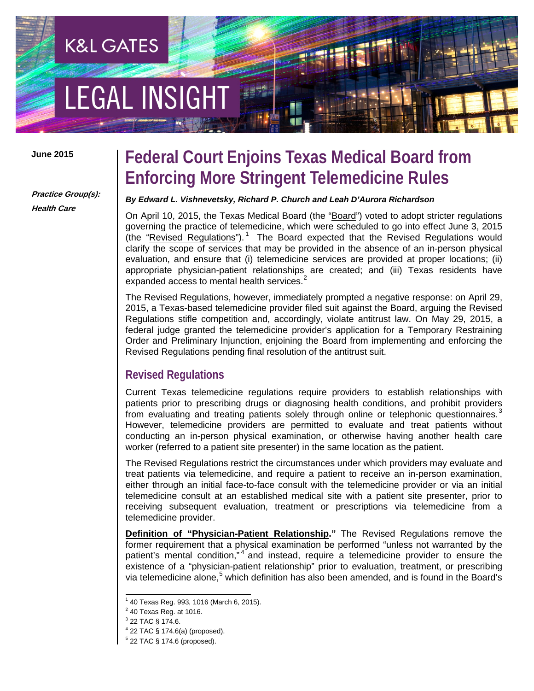# **EGAL INSIGHT**

**K&L GATES** 

#### **June 2015**

**Practice Group(s): Health Care**

## **Federal Court Enjoins Texas Medical Board from Enforcing More Stringent Telemedicine Rules**

#### *By Edward L. Vishnevetsky, Richard P. Church and Leah D'Aurora Richardson*

On April 10, 2015, the Texas Medical Board (the "Board") voted to adopt stricter regulations governing the practice of telemedicine, which were scheduled to go into effect June 3, 2015 (the "Revised Regulations").<sup>[1](#page-0-0)</sup> The Board expected that the Revised Regulations would clarify the scope of services that may be provided in the absence of an in-person physical evaluation, and ensure that (i) telemedicine services are provided at proper locations; (ii) appropriate physician-patient relationships are created; and (iii) Texas residents have expanded access to mental health services.<sup>[2](#page-0-1)</sup>

The Revised Regulations, however, immediately prompted a negative response: on April 29, 2015, a Texas-based telemedicine provider filed suit against the Board, arguing the Revised Regulations stifle competition and, accordingly, violate antitrust law. On May 29, 2015, a federal judge granted the telemedicine provider's application for a Temporary Restraining Order and Preliminary Injunction, enjoining the Board from implementing and enforcing the Revised Regulations pending final resolution of the antitrust suit.

#### **Revised Regulations**

Current Texas telemedicine regulations require providers to establish relationships with patients prior to prescribing drugs or diagnosing health conditions, and prohibit providers from evaluating and treating patients solely through online or telephonic questionnaires.<sup>[3](#page-0-2)</sup> However, telemedicine providers are permitted to evaluate and treat patients without conducting an in-person physical examination, or otherwise having another health care worker (referred to a patient site presenter) in the same location as the patient.

The Revised Regulations restrict the circumstances under which providers may evaluate and treat patients via telemedicine, and require a patient to receive an in-person examination, either through an initial face-to-face consult with the telemedicine provider or via an initial telemedicine consult at an established medical site with a patient site presenter, prior to receiving subsequent evaluation, treatment or prescriptions via telemedicine from a telemedicine provider.

**Definition of "Physician-Patient Relationship."** The Revised Regulations remove the former requirement that a physical examination be performed "unless not warranted by the patient's mental condition,"<sup>[4](#page-0-3)</sup> and instead, require a telemedicine provider to ensure the existence of a "physician-patient relationship" prior to evaluation, treatment, or prescribing via telemedicine alone,<sup>[5](#page-0-4)</sup> which definition has also been amended, and is found in the Board's

 $1$  40 Texas Reg. 993, 1016 (March 6, 2015).

<span id="page-0-1"></span><span id="page-0-0"></span> $2$  40 Texas Reg. at 1016.

<span id="page-0-3"></span><span id="page-0-2"></span><sup>3</sup> 22 TAC § 174.6.

<sup>22</sup> TAC § 174.6(a) (proposed).

<span id="page-0-4"></span> $5$  22 TAC § 174.6 (proposed).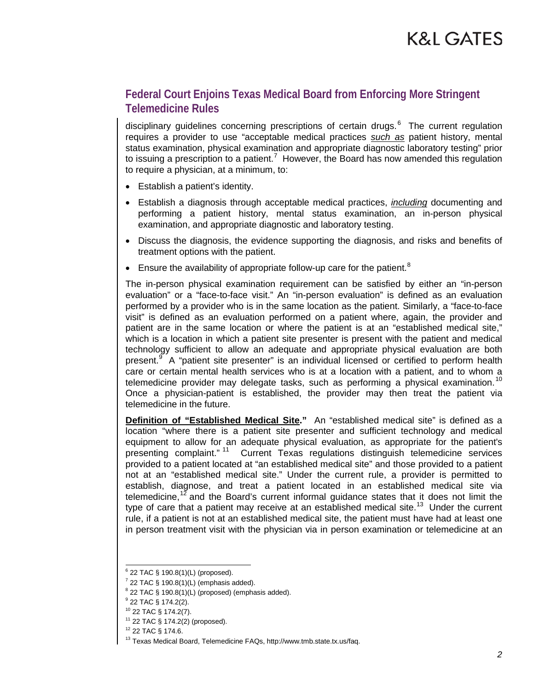## **Federal Court Enjoins Texas Medical Board from Enforcing More Stringent Telemedicine Rules**

disciplinary guidelines concerning prescriptions of certain drugs.<sup>[6](#page-1-0)</sup> The current regulation requires a provider to use "acceptable medical practices *such as* patient history, mental status examination, physical examination and appropriate diagnostic laboratory testing" prior to issuing a prescription to a patient.<sup>[7](#page-1-1)</sup> However, the Board has now amended this regulation to require a physician, at a minimum, to:

- Establish a patient's identity.
- Establish a diagnosis through acceptable medical practices, *including* documenting and performing a patient history, mental status examination, an in-person physical examination, and appropriate diagnostic and laboratory testing.
- Discuss the diagnosis, the evidence supporting the diagnosis, and risks and benefits of treatment options with the patient.
- Ensure the availability of appropriate follow-up care for the patient.<sup>[8](#page-1-2)</sup>

The in-person physical examination requirement can be satisfied by either an "in-person evaluation" or a "face-to-face visit." An "in-person evaluation" is defined as an evaluation performed by a provider who is in the same location as the patient. Similarly, a "face-to-face visit" is defined as an evaluation performed on a patient where, again, the provider and patient are in the same location or where the patient is at an "established medical site," which is a location in which a patient site presenter is present with the patient and medical technology sufficient to allow an adequate and appropriate physical evaluation are both present.<sup>[9](#page-1-3)</sup> A "patient site presenter" is an individual licensed or certified to perform health care or certain mental health services who is at a location with a patient, and to whom a telemedicine provider may delegate tasks, such as performing a physical examination.<sup>[10](#page-1-4)</sup> Once a physician-patient is established, the provider may then treat the patient via telemedicine in the future.

**Definition of "Established Medical Site."** An "established medical site" is defined as a location "where there is a patient site presenter and sufficient technology and medical equipment to allow for an adequate physical evaluation, as appropriate for the patient's presenting complaint." [11](#page-1-5) Current Texas regulations distinguish telemedicine services provided to a patient located at "an established medical site" and those provided to a patient not at an "established medical site." Under the current rule, a provider is permitted to establish, diagnose, and treat a patient located in an established medical site via telemedicine,<sup>[12](#page-1-6)</sup> and the Board's current informal guidance states that it does not limit the type of care that a patient may receive at an established medical site.<sup>13</sup> Under the current rule, if a patient is not at an established medical site, the patient must have had at least one in person treatment visit with the physician via in person examination or telemedicine at an

<span id="page-1-0"></span> $6$  22 TAC § 190.8(1)(L) (proposed).

<span id="page-1-1"></span> $7$  22 TAC § 190.8(1)(L) (emphasis added).

 $8$  22 TAC § 190.8(1)(L) (proposed) (emphasis added).

<span id="page-1-3"></span><span id="page-1-2"></span><sup>9</sup> 22 TAC § 174.2(2).

<sup>10</sup> 22 TAC § 174.2(7).

<span id="page-1-4"></span><sup>11</sup> 22 TAC § 174.2(2) (proposed).

<span id="page-1-7"></span><span id="page-1-6"></span><span id="page-1-5"></span><sup>12</sup> 22 TAC § 174.6.

<sup>&</sup>lt;sup>13</sup> Texas Medical Board, Telemedicine FAQs, http://www.tmb.state.tx.us/faq.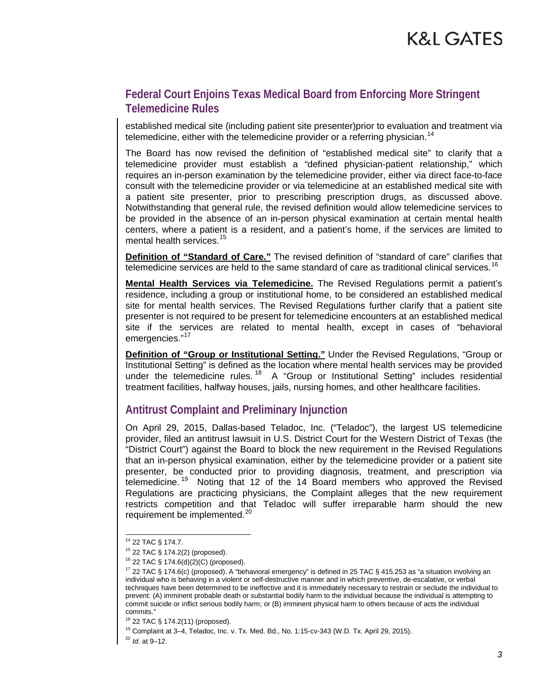### **Federal Court Enjoins Texas Medical Board from Enforcing More Stringent Telemedicine Rules**

established medical site (including patient site presenter)prior to evaluation and treatment via telemedicine, either with the telemedicine provider or a referring physician.<sup>14</sup>

The Board has now revised the definition of "established medical site" to clarify that a telemedicine provider must establish a "defined physician-patient relationship," which requires an in-person examination by the telemedicine provider, either via direct face-to-face consult with the telemedicine provider or via telemedicine at an established medical site with a patient site presenter, prior to prescribing prescription drugs, as discussed above. Notwithstanding that general rule, the revised definition would allow telemedicine services to be provided in the absence of an in-person physical examination at certain mental health centers, where a patient is a resident, and a patient's home, if the services are limited to mental health services.<sup>15</sup>

**Definition of "Standard of Care."** The revised definition of "standard of care" clarifies that telemedicine services are held to the same standard of care as traditional clinical services.<sup>[16](#page-2-2)</sup>

**Mental Health Services via Telemedicine.** The Revised Regulations permit a patient's residence, including a group or institutional home, to be considered an established medical site for mental health services. The Revised Regulations further clarify that a patient site presenter is not required to be present for telemedicine encounters at an established medical site if the services are related to mental health, except in cases of "behavioral emergencies."<sup>17</sup>

**Definition of "Group or Institutional Setting."** Under the Revised Regulations, "Group or Institutional Setting" is defined as the location where mental health services may be provided under the telemedicine rules.<sup>[18](#page-2-4)</sup> A "Group or Institutional Setting" includes residential treatment facilities, halfway houses, jails, nursing homes, and other healthcare facilities.

#### **Antitrust Complaint and Preliminary Injunction**

On April 29, 2015, Dallas-based Teladoc, Inc. ("Teladoc"), the largest US telemedicine provider, filed an antitrust lawsuit in U.S. District Court for the Western District of Texas (the "District Court") against the Board to block the new requirement in the Revised Regulations that an in-person physical examination, either by the telemedicine provider or a patient site presenter, be conducted prior to providing diagnosis, treatment, and prescription via telemedicine.<sup>[19](#page-2-5)</sup> Noting that 12 of the 14 Board members who approved the Revised Regulations are practicing physicians, the Complaint alleges that the new requirement restricts competition and that Teladoc will suffer irreparable harm should the new requirement be implemented.<sup>20</sup>

<span id="page-2-0"></span> <sup>14</sup> 22 TAC § 174.7.

<span id="page-2-1"></span><sup>15</sup> 22 TAC § 174.2(2) (proposed).

<sup>16</sup> 22 TAC § 174.6(d)(2)(C) (proposed).

<span id="page-2-3"></span><span id="page-2-2"></span><sup>&</sup>lt;sup>17</sup> 22 TAC § 174.6(c) (proposed). A "behavioral emergency" is defined in 25 TAC § 415.253 as "a situation involving an individual who is behaving in a violent or self-destructive manner and in which preventive, de-escalative, or verbal techniques have been determined to be ineffective and it is immediately necessary to restrain or seclude the individual to prevent: (A) imminent probable death or substantial bodily harm to the individual because the individual is attempting to commit suicide or inflict serious bodily harm; or (B) imminent physical harm to others because of acts the individual commits."

<span id="page-2-4"></span><sup>18</sup> 22 TAC § 174.2(11) (proposed).

 $19$  Complaint at 3-4, Teladoc, Inc. v. Tx. Med. Bd., No. 1:15-cv-343 (W.D. Tx. April 29, 2015).

<span id="page-2-6"></span><span id="page-2-5"></span><sup>20</sup> *Id*. at 9–12.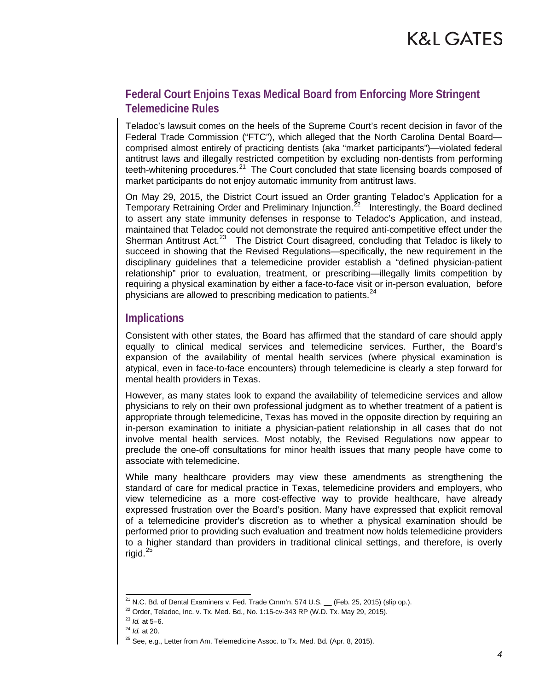## **Federal Court Enjoins Texas Medical Board from Enforcing More Stringent Telemedicine Rules**

Teladoc's lawsuit comes on the heels of the Supreme Court's recent decision in favor of the Federal Trade Commission ("FTC"), which alleged that the North Carolina Dental Board comprised almost entirely of practicing dentists (aka "market participants")—violated federal antitrust laws and illegally restricted competition by excluding non-dentists from performing teeth-whitening procedures. $21$  The Court concluded that state licensing boards composed of market participants do not enjoy automatic immunity from antitrust laws.

On May 29, 2015, the District Court issued an Order granting Teladoc's Application for a Temporary Retraining Order and Preliminary Injunction.<sup>22</sup> Interestingly, the Board declined to assert any state immunity defenses in response to Teladoc's Application, and instead, maintained that Teladoc could not demonstrate the required anti-competitive effect under the Sherman Antitrust Act.<sup>[23](#page-3-2)</sup> The District Court disagreed, concluding that Teladoc is likely to succeed in showing that the Revised Regulations—specifically, the new requirement in the disciplinary guidelines that a telemedicine provider establish a "defined physician-patient relationship" prior to evaluation, treatment, or prescribing—illegally limits competition by requiring a physical examination by either a face-to-face visit or in-person evaluation, before physicians are allowed to prescribing medication to patients.<sup>24</sup>

#### **Implications**

Consistent with other states, the Board has affirmed that the standard of care should apply equally to clinical medical services and telemedicine services. Further, the Board's expansion of the availability of mental health services (where physical examination is atypical, even in face-to-face encounters) through telemedicine is clearly a step forward for mental health providers in Texas.

However, as many states look to expand the availability of telemedicine services and allow physicians to rely on their own professional judgment as to whether treatment of a patient is appropriate through telemedicine, Texas has moved in the opposite direction by requiring an in-person examination to initiate a physician-patient relationship in all cases that do not involve mental health services. Most notably, the Revised Regulations now appear to preclude the one-off consultations for minor health issues that many people have come to associate with telemedicine.

While many healthcare providers may view these amendments as strengthening the standard of care for medical practice in Texas, telemedicine providers and employers, who view telemedicine as a more cost-effective way to provide healthcare, have already expressed frustration over the Board's position. Many have expressed that explicit removal of a telemedicine provider's discretion as to whether a physical examination should be performed prior to providing such evaluation and treatment now holds telemedicine providers to a higher standard than providers in traditional clinical settings, and therefore, is overly rigid.<sup>[25](#page-3-4)</sup>

<span id="page-3-0"></span> $21$  N.C. Bd. of Dental Examiners v. Fed. Trade Cmm'n, 574 U.S.  $\quad$  (Feb. 25, 2015) (slip op.).

 $22$  Order, Teladoc, Inc. v. Tx. Med. Bd., No. 1:15-cv-343 RP (W.D. Tx. May 29, 2015).

<span id="page-3-2"></span><span id="page-3-1"></span><sup>23</sup> *Id.* at 5–6.

<span id="page-3-3"></span><sup>24</sup> *Id.* at 20.

<span id="page-3-4"></span> $^{25}$  See, e.g., Letter from Am. Telemedicine Assoc. to Tx. Med. Bd. (Apr. 8, 2015).